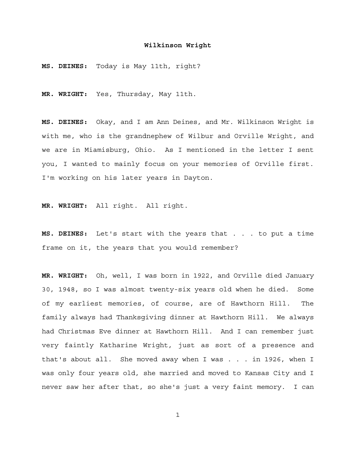**MS. DEINES:** Today is May 11th, right?

**MR. WRIGHT:** Yes, Thursday, May 11th.

**MS. DEINES:** Okay, and I am Ann Deines, and Mr. Wilkinson Wright is with me, who is the grandnephew of Wilbur and Orville Wright, and we are in Miamisburg, Ohio. As I mentioned in the letter I sent you, I wanted to mainly focus on your memories of Orville first. I'm working on his later years in Dayton.

**MR. WRIGHT:** All right. All right.

**MS. DEINES:** Let's start with the years that . . . to put a time frame on it, the years that you would remember?

**MR. WRIGHT:** Oh, well, I was born in 1922, and Orville died January 30, 1948, so I was almost twenty-six years old when he died. Some of my earliest memories, of course, are of Hawthorn Hill. The family always had Thanksgiving dinner at Hawthorn Hill. We always had Christmas Eve dinner at Hawthorn Hill. And I can remember just very faintly Katharine Wright, just as sort of a presence and that's about all. She moved away when I was . . . in 1926, when I was only four years old, she married and moved to Kansas City and I never saw her after that, so she's just a very faint memory. I can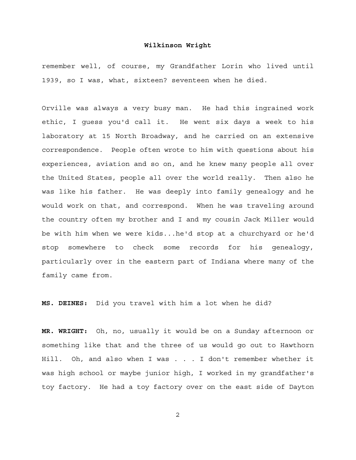remember well, of course, my Grandfather Lorin who lived until 1939, so I was, what, sixteen? seventeen when he died.

Orville was always a very busy man. He had this ingrained work ethic, I guess you'd call it. He went six days a week to his laboratory at 15 North Broadway, and he carried on an extensive correspondence. People often wrote to him with questions about his experiences, aviation and so on, and he knew many people all over the United States, people all over the world really. Then also he was like his father. He was deeply into family genealogy and he would work on that, and correspond. When he was traveling around the country often my brother and I and my cousin Jack Miller would be with him when we were kids...he'd stop at a churchyard or he'd stop somewhere to check some records for his genealogy, particularly over in the eastern part of Indiana where many of the family came from.

**MS. DEINES:** Did you travel with him a lot when he did?

**MR. WRIGHT:** Oh, no, usually it would be on a Sunday afternoon or something like that and the three of us would go out to Hawthorn Hill. Oh, and also when I was . . . I don't remember whether it was high school or maybe junior high, I worked in my grandfather's toy factory. He had a toy factory over on the east side of Dayton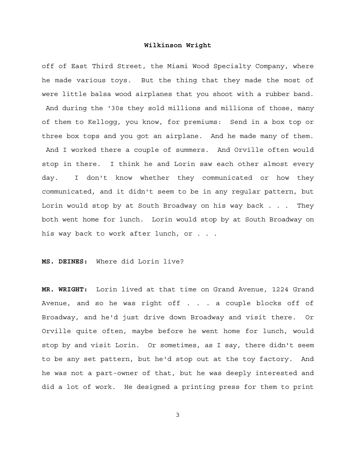off of East Third Street, the Miami Wood Specialty Company, where he made various toys. But the thing that they made the most of were little balsa wood airplanes that you shoot with a rubber band. And during the '30s they sold millions and millions of those, many of them to Kellogg, you know, for premiums: Send in a box top or three box tops and you got an airplane. And he made many of them. And I worked there a couple of summers. And Orville often would stop in there. I think he and Lorin saw each other almost every day. I don't know whether they communicated or how they communicated, and it didn't seem to be in any regular pattern, but Lorin would stop by at South Broadway on his way back . . . They both went home for lunch. Lorin would stop by at South Broadway on his way back to work after lunch, or . . .

#### **MS. DEINES:** Where did Lorin live?

**MR. WRIGHT:** Lorin lived at that time on Grand Avenue, 1224 Grand Avenue, and so he was right off . . . a couple blocks off of Broadway, and he'd just drive down Broadway and visit there. Or Orville quite often, maybe before he went home for lunch, would stop by and visit Lorin. Or sometimes, as I say, there didn't seem to be any set pattern, but he'd stop out at the toy factory. And he was not a part-owner of that, but he was deeply interested and did a lot of work. He designed a printing press for them to print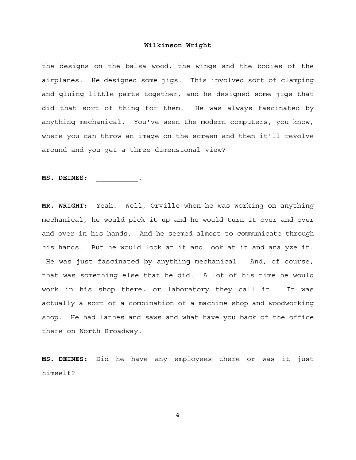the designs on the balsa wood, the wings and the bodies of the airplanes. He designed some jigs. This involved sort of clamping and gluing little parts together, and he designed some jigs that did that sort of thing for them. He was always fascinated by anything mechanical. You've seen the modern computers, you know, where you can throw an image on the screen and then it'll revolve around and you get a three-dimensional view?

**MS. DEINES:** \_\_\_\_\_\_\_\_\_\_\_.

**MR. WRIGHT:** Yeah. Well, Orville when he was working on anything mechanical, he would pick it up and he would turn it over and over and over in his hands. And he seemed almost to communicate through his hands. But he would look at it and look at it and analyze it. He was just fascinated by anything mechanical. And, of course, that was something else that he did. A lot of his time he would work in his shop there, or laboratory they call it. It was actually a sort of a combination of a machine shop and woodworking shop. He had lathes and saws and what have you back of the office there on North Broadway.

**MS. DEINES:** Did he have any employees there or was it just himself?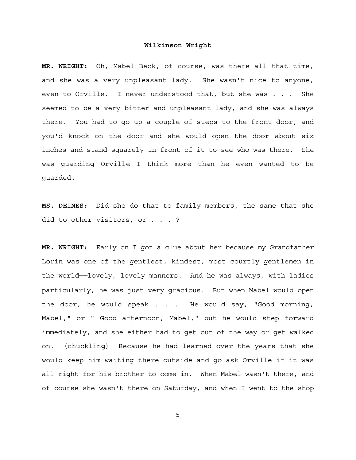**MR. WRIGHT:** Oh, Mabel Beck, of course, was there all that time, and she was a very unpleasant lady. She wasn't nice to anyone, even to Orville. I never understood that, but she was . . . She seemed to be a very bitter and unpleasant lady, and she was always there. You had to go up a couple of steps to the front door, and you'd knock on the door and she would open the door about six inches and stand squarely in front of it to see who was there. She was guarding Orville I think more than he even wanted to be guarded.

**MS. DEINES:** Did she do that to family members, the same that she did to other visitors, or . . . ?

**MR. WRIGHT:** Early on I got a clue about her because my Grandfather Lorin was one of the gentlest, kindest, most courtly gentlemen in the world──lovely, lovely manners. And he was always, with ladies particularly, he was just very gracious. But when Mabel would open the door, he would speak . . . He would say, "Good morning, Mabel," or " Good afternoon, Mabel," but he would step forward immediately, and she either had to get out of the way or get walked on. (chuckling) Because he had learned over the years that she would keep him waiting there outside and go ask Orville if it was all right for his brother to come in. When Mabel wasn't there, and of course she wasn't there on Saturday, and when I went to the shop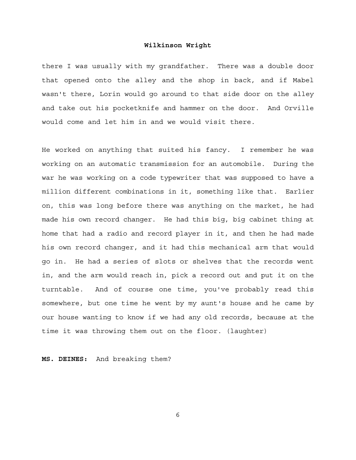there I was usually with my grandfather. There was a double door that opened onto the alley and the shop in back, and if Mabel wasn't there, Lorin would go around to that side door on the alley and take out his pocketknife and hammer on the door. And Orville would come and let him in and we would visit there.

He worked on anything that suited his fancy. I remember he was working on an automatic transmission for an automobile. During the war he was working on a code typewriter that was supposed to have a million different combinations in it, something like that. Earlier on, this was long before there was anything on the market, he had made his own record changer. He had this big, big cabinet thing at home that had a radio and record player in it, and then he had made his own record changer, and it had this mechanical arm that would go in. He had a series of slots or shelves that the records went in, and the arm would reach in, pick a record out and put it on the turntable. And of course one time, you've probably read this somewhere, but one time he went by my aunt's house and he came by our house wanting to know if we had any old records, because at the time it was throwing them out on the floor. (laughter)

**MS. DEINES:** And breaking them?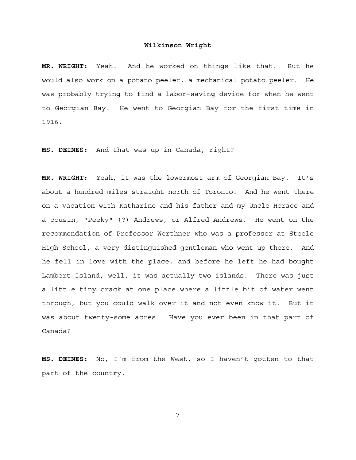**MR. WRIGHT:** Yeah. And he worked on things like that. But he would also work on a potato peeler, a mechanical potato peeler. He was probably trying to find a labor-saving device for when he went to Georgian Bay. He went to Georgian Bay for the first time in 1916.

**MS. DEINES:** And that was up in Canada, right?

**MR. WRIGHT:** Yeah, it was the lowermost arm of Georgian Bay. It's about a hundred miles straight north of Toronto. And he went there on a vacation with Katharine and his father and my Uncle Horace and a cousin, "Peeky" (?) Andrews, or Alfred Andrews. He went on the recommendation of Professor Werthner who was a professor at Steele High School, a very distinguished gentleman who went up there. And he fell in love with the place, and before he left he had bought Lambert Island, well, it was actually two islands. There was just a little tiny crack at one place where a little bit of water went through, but you could walk over it and not even know it. But it was about twenty-some acres. Have you ever been in that part of Canada?

**MS. DEINES:** No, I'm from the West, so I haven't gotten to that part of the country.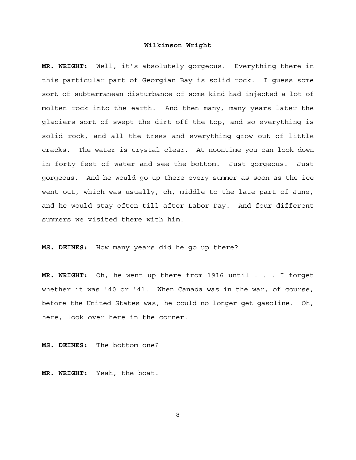**MR. WRIGHT:** Well, it's absolutely gorgeous. Everything there in this particular part of Georgian Bay is solid rock. I guess some sort of subterranean disturbance of some kind had injected a lot of molten rock into the earth. And then many, many years later the glaciers sort of swept the dirt off the top, and so everything is solid rock, and all the trees and everything grow out of little cracks. The water is crystal-clear. At noontime you can look down in forty feet of water and see the bottom. Just gorgeous. Just gorgeous. And he would go up there every summer as soon as the ice went out, which was usually, oh, middle to the late part of June, and he would stay often till after Labor Day. And four different summers we visited there with him.

**MS. DEINES:** How many years did he go up there?

**MR. WRIGHT:** Oh, he went up there from 1916 until . . . I forget whether it was '40 or '41. When Canada was in the war, of course, before the United States was, he could no longer get gasoline. Oh, here, look over here in the corner.

**MS. DEINES:** The bottom one?

**MR. WRIGHT:** Yeah, the boat.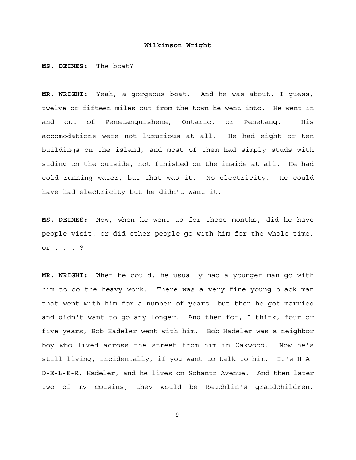**MS. DEINES:** The boat?

**MR. WRIGHT:** Yeah, a gorgeous boat. And he was about, I guess, twelve or fifteen miles out from the town he went into. He went in and out of Penetanguishene, Ontario, or Penetang. His accomodations were not luxurious at all. He had eight or ten buildings on the island, and most of them had simply studs with siding on the outside, not finished on the inside at all. He had cold running water, but that was it. No electricity. He could have had electricity but he didn't want it.

**MS. DEINES:** Now, when he went up for those months, did he have people visit, or did other people go with him for the whole time, or . . . ?

**MR. WRIGHT:** When he could, he usually had a younger man go with him to do the heavy work. There was a very fine young black man that went with him for a number of years, but then he got married and didn't want to go any longer. And then for, I think, four or five years, Bob Hadeler went with him. Bob Hadeler was a neighbor boy who lived across the street from him in Oakwood. Now he's still living, incidentally, if you want to talk to him. It's H-A-D-E-L-E-R, Hadeler, and he lives on Schantz Avenue. And then later two of my cousins, they would be Reuchlin's grandchildren,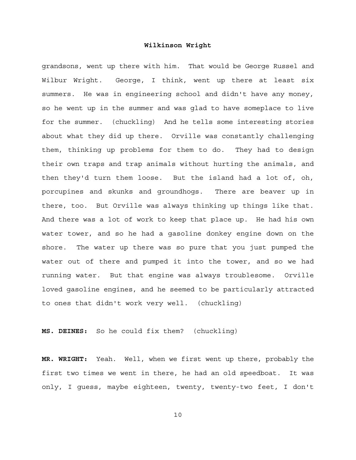grandsons, went up there with him. That would be George Russel and Wilbur Wright. George, I think, went up there at least six summers. He was in engineering school and didn't have any money, so he went up in the summer and was glad to have someplace to live for the summer. (chuckling) And he tells some interesting stories about what they did up there. Orville was constantly challenging them, thinking up problems for them to do. They had to design their own traps and trap animals without hurting the animals, and then they'd turn them loose. But the island had a lot of, oh, porcupines and skunks and groundhogs. There are beaver up in there, too. But Orville was always thinking up things like that. And there was a lot of work to keep that place up. He had his own water tower, and so he had a gasoline donkey engine down on the shore. The water up there was so pure that you just pumped the water out of there and pumped it into the tower, and so we had running water. But that engine was always troublesome. Orville loved gasoline engines, and he seemed to be particularly attracted to ones that didn't work very well. (chuckling)

**MS. DEINES:** So he could fix them? (chuckling)

**MR. WRIGHT:** Yeah. Well, when we first went up there, probably the first two times we went in there, he had an old speedboat. It was only, I guess, maybe eighteen, twenty, twenty-two feet, I don't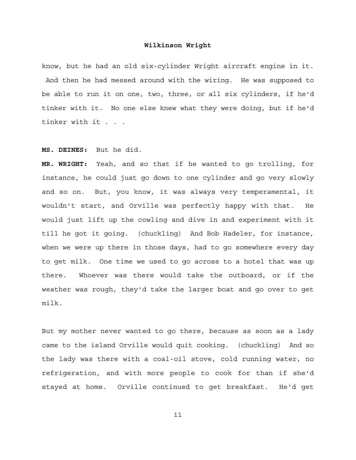know, but he had an old six-cylinder Wright aircraft engine in it. And then he had messed around with the wiring. He was supposed to be able to run it on one, two, three, or all six cylinders, if he'd tinker with it. No one else knew what they were doing, but if he'd tinker with it . . .

#### **MS. DEINES:** But he did.

**MR. WRIGHT:** Yeah, and so that if he wanted to go trolling, for instance, he could just go down to one cylinder and go very slowly and so on. But, you know, it was always very temperamental, it wouldn't start, and Orville was perfectly happy with that. He would just lift up the cowling and dive in and experiment with it till he got it going. (chuckling) And Bob Hadeler, for instance, when we were up there in those days, had to go somewhere every day to get milk. One time we used to go across to a hotel that was up there. Whoever was there would take the outboard, or if the weather was rough, they'd take the larger boat and go over to get milk.

But my mother never wanted to go there, because as soon as a lady came to the island Orville would quit cooking. (chuckling) And so the lady was there with a coal-oil stove, cold running water, no refrigeration, and with more people to cook for than if she'd stayed at home. Orville continued to get breakfast. He'd get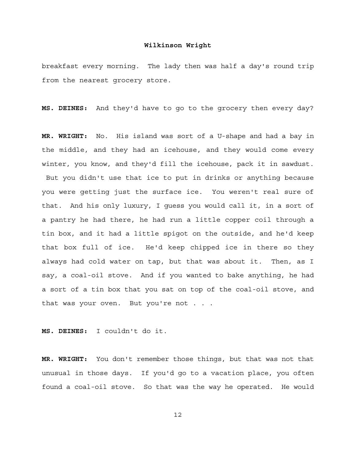breakfast every morning. The lady then was half a day's round trip from the nearest grocery store.

**MS. DEINES:** And they'd have to go to the grocery then every day?

**MR. WRIGHT:** No. His island was sort of a U-shape and had a bay in the middle, and they had an icehouse, and they would come every winter, you know, and they'd fill the icehouse, pack it in sawdust. But you didn't use that ice to put in drinks or anything because you were getting just the surface ice. You weren't real sure of that. And his only luxury, I guess you would call it, in a sort of a pantry he had there, he had run a little copper coil through a tin box, and it had a little spigot on the outside, and he'd keep that box full of ice. He'd keep chipped ice in there so they always had cold water on tap, but that was about it. Then, as I say, a coal-oil stove. And if you wanted to bake anything, he had a sort of a tin box that you sat on top of the coal-oil stove, and that was your oven. But you're not . . .

**MS. DEINES:** I couldn't do it.

**MR. WRIGHT:** You don't remember those things, but that was not that unusual in those days. If you'd go to a vacation place, you often found a coal-oil stove. So that was the way he operated. He would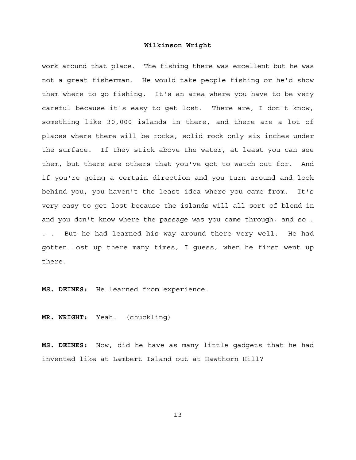work around that place. The fishing there was excellent but he was not a great fisherman. He would take people fishing or he'd show them where to go fishing. It's an area where you have to be very careful because it's easy to get lost. There are, I don't know, something like 30,000 islands in there, and there are a lot of places where there will be rocks, solid rock only six inches under the surface. If they stick above the water, at least you can see them, but there are others that you've got to watch out for. And if you're going a certain direction and you turn around and look behind you, you haven't the least idea where you came from. It's very easy to get lost because the islands will all sort of blend in and you don't know where the passage was you came through, and so . . . But he had learned his way around there very well. He had gotten lost up there many times, I guess, when he first went up there.

**MS. DEINES:** He learned from experience.

**MR. WRIGHT:** Yeah. (chuckling)

**MS. DEINES:** Now, did he have as many little gadgets that he had invented like at Lambert Island out at Hawthorn Hill?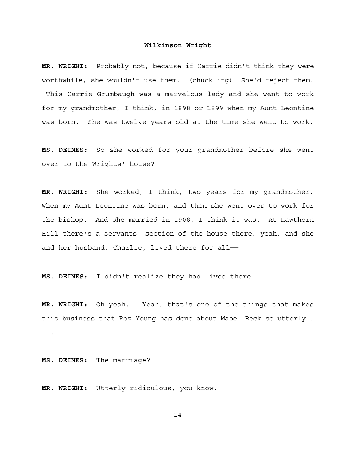**MR. WRIGHT:** Probably not, because if Carrie didn't think they were worthwhile, she wouldn't use them. (chuckling) She'd reject them. This Carrie Grumbaugh was a marvelous lady and she went to work for my grandmother, I think, in 1898 or 1899 when my Aunt Leontine was born. She was twelve years old at the time she went to work.

**MS. DEINES:** So she worked for your grandmother before she went over to the Wrights' house?

**MR. WRIGHT:** She worked, I think, two years for my grandmother. When my Aunt Leontine was born, and then she went over to work for the bishop. And she married in 1908, I think it was. At Hawthorn Hill there's a servants' section of the house there, yeah, and she and her husband, Charlie, lived there for all-

**MS. DEINES:** I didn't realize they had lived there.

**MR. WRIGHT:** Oh yeah. Yeah, that's one of the things that makes this business that Roz Young has done about Mabel Beck so utterly . . .

**MS. DEINES:** The marriage?

**MR. WRIGHT:** Utterly ridiculous, you know.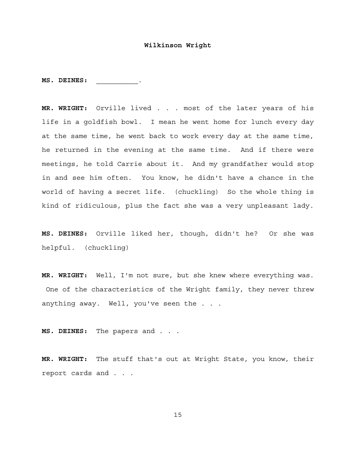**MS. DEINES:** \_\_\_\_\_\_\_\_\_\_\_.

**MR. WRIGHT:** Orville lived . . . most of the later years of his life in a goldfish bowl. I mean he went home for lunch every day at the same time, he went back to work every day at the same time, he returned in the evening at the same time. And if there were meetings, he told Carrie about it. And my grandfather would stop in and see him often. You know, he didn't have a chance in the world of having a secret life. (chuckling) So the whole thing is kind of ridiculous, plus the fact she was a very unpleasant lady.

**MS. DEINES:** Orville liked her, though, didn't he? Or she was helpful. (chuckling)

**MR. WRIGHT:** Well, I'm not sure, but she knew where everything was. One of the characteristics of the Wright family, they never threw anything away. Well, you've seen the . . .

**MS. DEINES:** The papers and . . .

**MR. WRIGHT:** The stuff that's out at Wright State, you know, their report cards and . . .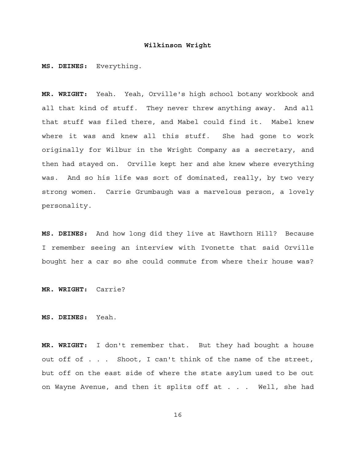**MS. DEINES:** Everything.

**MR. WRIGHT:** Yeah. Yeah, Orville's high school botany workbook and all that kind of stuff. They never threw anything away. And all that stuff was filed there, and Mabel could find it. Mabel knew where it was and knew all this stuff. She had gone to work originally for Wilbur in the Wright Company as a secretary, and then had stayed on. Orville kept her and she knew where everything was. And so his life was sort of dominated, really, by two very strong women. Carrie Grumbaugh was a marvelous person, a lovely personality.

**MS. DEINES:** And how long did they live at Hawthorn Hill? Because I remember seeing an interview with Ivonette that said Orville bought her a car so she could commute from where their house was?

**MR. WRIGHT:** Carrie?

**MS. DEINES:** Yeah.

**MR. WRIGHT:** I don't remember that. But they had bought a house out off of . . . Shoot, I can't think of the name of the street, but off on the east side of where the state asylum used to be out on Wayne Avenue, and then it splits off at . . . Well, she had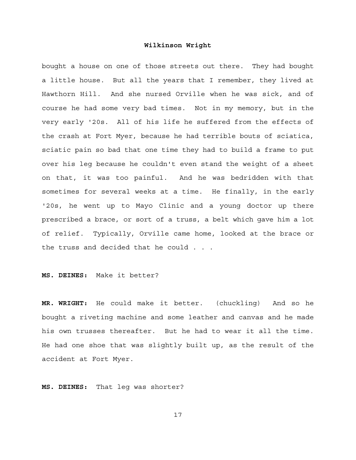bought a house on one of those streets out there. They had bought a little house. But all the years that I remember, they lived at Hawthorn Hill. And she nursed Orville when he was sick, and of course he had some very bad times. Not in my memory, but in the very early '20s. All of his life he suffered from the effects of the crash at Fort Myer, because he had terrible bouts of sciatica, sciatic pain so bad that one time they had to build a frame to put over his leg because he couldn't even stand the weight of a sheet on that, it was too painful. And he was bedridden with that sometimes for several weeks at a time. He finally, in the early '20s, he went up to Mayo Clinic and a young doctor up there prescribed a brace, or sort of a truss, a belt which gave him a lot of relief. Typically, Orville came home, looked at the brace or the truss and decided that he could . . .

**MS. DEINES:** Make it better?

**MR. WRIGHT:** He could make it better. (chuckling) And so he bought a riveting machine and some leather and canvas and he made his own trusses thereafter. But he had to wear it all the time. He had one shoe that was slightly built up, as the result of the accident at Fort Myer.

**MS. DEINES:** That leg was shorter?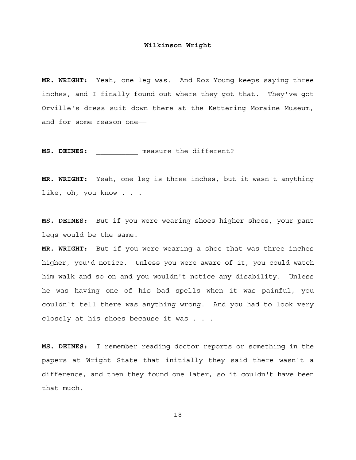**MR. WRIGHT:** Yeah, one leg was. And Roz Young keeps saying three inches, and I finally found out where they got that. They've got Orville's dress suit down there at the Kettering Moraine Museum, and for some reason one-

**MS. DEINES:** measure the different?

**MR. WRIGHT:** Yeah, one leg is three inches, but it wasn't anything like, oh, you know . . .

**MS. DEINES:** But if you were wearing shoes higher shoes, your pant legs would be the same.

**MR. WRIGHT:** But if you were wearing a shoe that was three inches higher, you'd notice. Unless you were aware of it, you could watch him walk and so on and you wouldn't notice any disability. Unless he was having one of his bad spells when it was painful, you couldn't tell there was anything wrong. And you had to look very closely at his shoes because it was . . .

**MS. DEINES:** I remember reading doctor reports or something in the papers at Wright State that initially they said there wasn't a difference, and then they found one later, so it couldn't have been that much.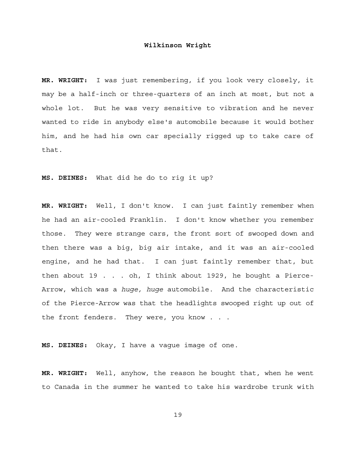**MR. WRIGHT:** I was just remembering, if you look very closely, it may be a half-inch or three-quarters of an inch at most, but not a whole lot. But he was very sensitive to vibration and he never wanted to ride in anybody else's automobile because it would bother him, and he had his own car specially rigged up to take care of that.

**MS. DEINES:** What did he do to rig it up?

**MR. WRIGHT:** Well, I don't know. I can just faintly remember when he had an air-cooled Franklin. I don't know whether you remember those. They were strange cars, the front sort of swooped down and then there was a big, big air intake, and it was an air-cooled engine, and he had that. I can just faintly remember that, but then about 19 . . . oh, I think about 1929, he bought a Pierce-Arrow, which was a *huge, huge* automobile. And the characteristic of the Pierce-Arrow was that the headlights swooped right up out of the front fenders. They were, you know . . .

**MS. DEINES:** Okay, I have a vague image of one.

**MR. WRIGHT:** Well, anyhow, the reason he bought that, when he went to Canada in the summer he wanted to take his wardrobe trunk with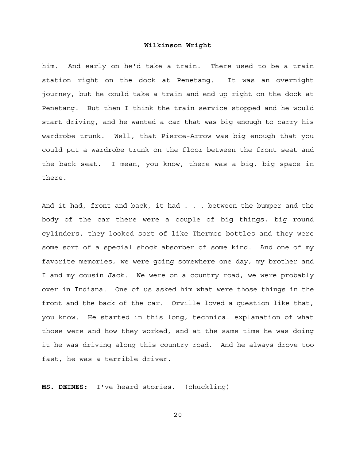him. And early on he'd take a train. There used to be a train station right on the dock at Penetang. It was an overnight journey, but he could take a train and end up right on the dock at Penetang. But then I think the train service stopped and he would start driving, and he wanted a car that was big enough to carry his wardrobe trunk. Well, that Pierce-Arrow was big enough that you could put a wardrobe trunk on the floor between the front seat and the back seat. I mean, you know, there was a big, big space in there.

And it had, front and back, it had . . . between the bumper and the body of the car there were a couple of big things, big round cylinders, they looked sort of like Thermos bottles and they were some sort of a special shock absorber of some kind. And one of my favorite memories, we were going somewhere one day, my brother and I and my cousin Jack. We were on a country road, we were probably over in Indiana. One of us asked him what were those things in the front and the back of the car. Orville loved a question like that, you know. He started in this long, technical explanation of what those were and how they worked, and at the same time he was doing it he was driving along this country road. And he always drove too fast, he was a terrible driver.

**MS. DEINES:** I've heard stories. (chuckling)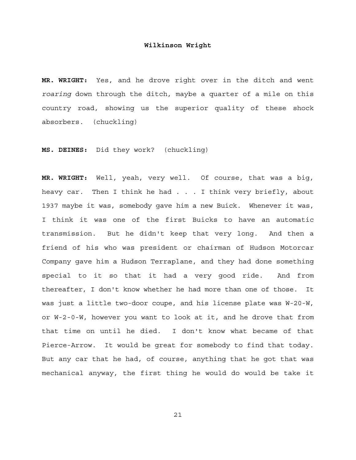**MR. WRIGHT:** Yes, and he drove right over in the ditch and went *roaring* down through the ditch, maybe a quarter of a mile on this country road, showing us the superior quality of these shock absorbers. (chuckling)

**MS. DEINES:** Did they work? (chuckling)

**MR. WRIGHT:** Well, yeah, very well. Of course, that was a big, heavy car. Then I think he had . . . I think very briefly, about 1937 maybe it was, somebody gave him a new Buick. Whenever it was, I think it was one of the first Buicks to have an automatic transmission. But he didn't keep that very long. And then a friend of his who was president or chairman of Hudson Motorcar Company gave him a Hudson Terraplane, and they had done something special to it so that it had a very good ride. And from thereafter, I don't know whether he had more than one of those. It was just a little two-door coupe, and his license plate was W-20-W, or W-2-0-W, however you want to look at it, and he drove that from that time on until he died. I don't know what became of that Pierce-Arrow. It would be great for somebody to find that today. But any car that he had, of course, anything that he got that was mechanical anyway, the first thing he would do would be take it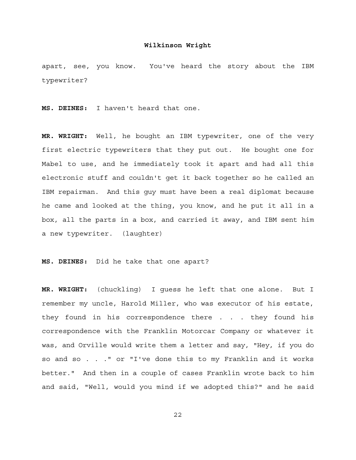apart, see, you know. You've heard the story about the IBM typewriter?

**MS. DEINES:** I haven't heard that one.

**MR. WRIGHT:** Well, he bought an IBM typewriter, one of the very first electric typewriters that they put out. He bought one for Mabel to use, and he immediately took it apart and had all this electronic stuff and couldn't get it back together so he called an IBM repairman. And this guy must have been a real diplomat because he came and looked at the thing, you know, and he put it all in a box, all the parts in a box, and carried it away, and IBM sent him a new typewriter. (laughter)

**MS. DEINES:** Did he take that one apart?

**MR. WRIGHT:** (chuckling) I guess he left that one alone. But I remember my uncle, Harold Miller, who was executor of his estate, they found in his correspondence there . . . they found his correspondence with the Franklin Motorcar Company or whatever it was, and Orville would write them a letter and say, "Hey, if you do so and so . . ." or "I've done this to my Franklin and it works better." And then in a couple of cases Franklin wrote back to him and said, "Well, would you mind if we adopted this?" and he said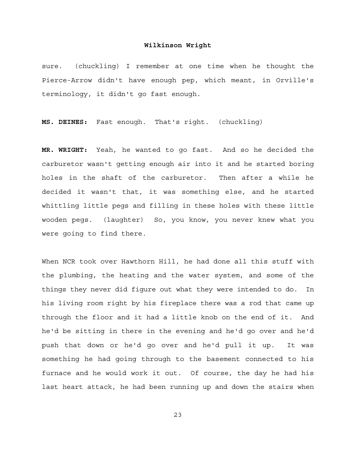sure. (chuckling) I remember at one time when he thought the Pierce-Arrow didn't have enough pep, which meant, in Orville's terminology, it didn't go fast enough.

**MS. DEINES:** Fast enough. That's right. (chuckling)

**MR. WRIGHT:** Yeah, he wanted to go fast. And so he decided the carburetor wasn't getting enough air into it and he started boring holes in the shaft of the carburetor. Then after a while he decided it wasn't that, it was something else, and he started whittling little pegs and filling in these holes with these little wooden pegs. (laughter) So, you know, you never knew what you were going to find there.

When NCR took over Hawthorn Hill, he had done all this stuff with the plumbing, the heating and the water system, and some of the things they never did figure out what they were intended to do. In his living room right by his fireplace there was a rod that came up through the floor and it had a little knob on the end of it. And he'd be sitting in there in the evening and he'd go over and he'd push that down or he'd go over and he'd pull it up. It was something he had going through to the basement connected to his furnace and he would work it out. Of course, the day he had his last heart attack, he had been running up and down the stairs when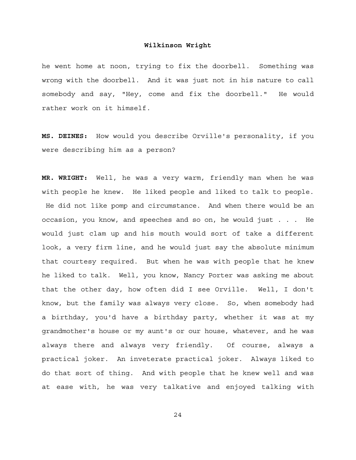he went home at noon, trying to fix the doorbell. Something was wrong with the doorbell. And it was just not in his nature to call somebody and say, "Hey, come and fix the doorbell." He would rather work on it himself.

**MS. DEINES:** How would you describe Orville's personality, if you were describing him as a person?

**MR. WRIGHT:** Well, he was a very warm, friendly man when he was with people he knew. He liked people and liked to talk to people. He did not like pomp and circumstance. And when there would be an occasion, you know, and speeches and so on, he would just . . . He would just clam up and his mouth would sort of take a different look, a very firm line, and he would just say the absolute minimum that courtesy required. But when he was with people that he knew he liked to talk. Well, you know, Nancy Porter was asking me about that the other day, how often did I see Orville. Well, I don't know, but the family was always very close. So, when somebody had a birthday, you'd have a birthday party, whether it was at my grandmother's house or my aunt's or our house, whatever, and he was always there and always very friendly. Of course, always a practical joker. An inveterate practical joker. Always liked to do that sort of thing. And with people that he knew well and was at ease with, he was very talkative and enjoyed talking with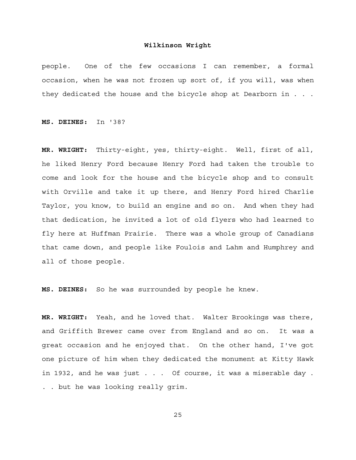people. One of the few occasions I can remember, a formal occasion, when he was not frozen up sort of, if you will, was when they dedicated the house and the bicycle shop at Dearborn in . . .

**MS. DEINES:** In '38?

**MR. WRIGHT:** Thirty-eight, yes, thirty-eight. Well, first of all, he liked Henry Ford because Henry Ford had taken the trouble to come and look for the house and the bicycle shop and to consult with Orville and take it up there, and Henry Ford hired Charlie Taylor, you know, to build an engine and so on. And when they had that dedication, he invited a lot of old flyers who had learned to fly here at Huffman Prairie. There was a whole group of Canadians that came down, and people like Foulois and Lahm and Humphrey and all of those people.

**MS. DEINES:** So he was surrounded by people he knew.

**MR. WRIGHT:** Yeah, and he loved that. Walter Brookings was there, and Griffith Brewer came over from England and so on. It was a great occasion and he enjoyed that. On the other hand, I've got one picture of him when they dedicated the monument at Kitty Hawk in 1932, and he was just . . . Of course, it was a miserable day . . . but he was looking really grim.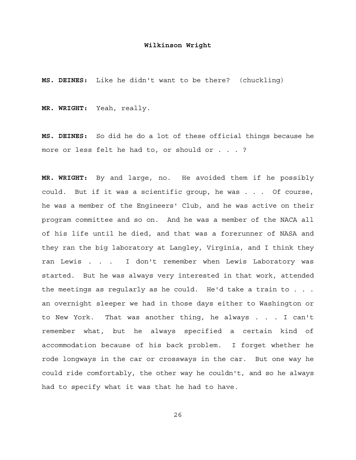**MS. DEINES:** Like he didn't want to be there? (chuckling)

**MR. WRIGHT:** Yeah, really.

**MS. DEINES:** So did he do a lot of these official things because he more or less felt he had to, or should or . . . ?

**MR. WRIGHT:** By and large, no. He avoided them if he possibly could. But if it was a scientific group, he was . . . Of course, he was a member of the Engineers' Club, and he was active on their program committee and so on. And he was a member of the NACA all of his life until he died, and that was a forerunner of NASA and they ran the big laboratory at Langley, Virginia, and I think they ran Lewis . . . I don't remember when Lewis Laboratory was started. But he was always very interested in that work, attended the meetings as regularly as he could. He'd take a train to . . . an overnight sleeper we had in those days either to Washington or to New York. That was another thing, he always . . . I can't remember what, but he always specified a certain kind of accommodation because of his back problem. I forget whether he rode longways in the car or crossways in the car. But one way he could ride comfortably, the other way he couldn't, and so he always had to specify what it was that he had to have.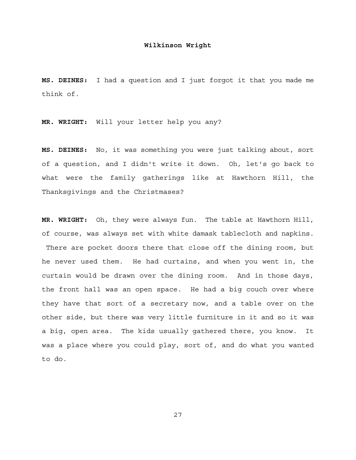**MS. DEINES:** I had a question and I just forgot it that you made me think of.

**MR. WRIGHT:** Will your letter help you any?

**MS. DEINES:** No, it was something you were just talking about, sort of a question, and I didn't write it down. Oh, let's go back to what were the family gatherings like at Hawthorn Hill, the Thanksgivings and the Christmases?

**MR. WRIGHT:** Oh, they were always fun. The table at Hawthorn Hill, of course, was always set with white damask tablecloth and napkins. There are pocket doors there that close off the dining room, but he never used them. He had curtains, and when you went in, the curtain would be drawn over the dining room. And in those days, the front hall was an open space. He had a big couch over where they have that sort of a secretary now, and a table over on the other side, but there was very little furniture in it and so it was a big, open area. The kids usually gathered there, you know. It was a place where you could play, sort of, and do what you wanted to do.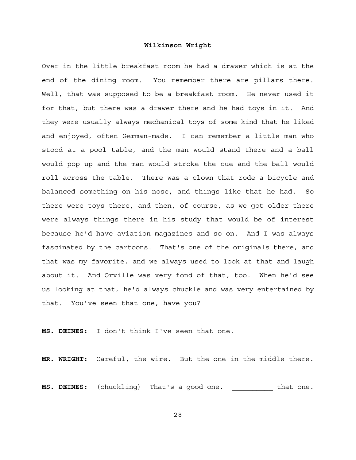Over in the little breakfast room he had a drawer which is at the end of the dining room. You remember there are pillars there. Well, that was supposed to be a breakfast room. He never used it for that, but there was a drawer there and he had toys in it. And they were usually always mechanical toys of some kind that he liked and enjoyed, often German-made. I can remember a little man who stood at a pool table, and the man would stand there and a ball would pop up and the man would stroke the cue and the ball would roll across the table. There was a clown that rode a bicycle and balanced something on his nose, and things like that he had. So there were toys there, and then, of course, as we got older there were always things there in his study that would be of interest because he'd have aviation magazines and so on. And I was always fascinated by the cartoons. That's one of the originals there, and that was my favorite, and we always used to look at that and laugh about it. And Orville was very fond of that, too. When he'd see us looking at that, he'd always chuckle and was very entertained by that. You've seen that one, have you?

**MS. DEINES:** I don't think I've seen that one.

**MR. WRIGHT:** Careful, the wire. But the one in the middle there.

**MS. DEINES:** (chuckling) That's a good one. \_\_\_\_\_\_\_\_\_\_ that one.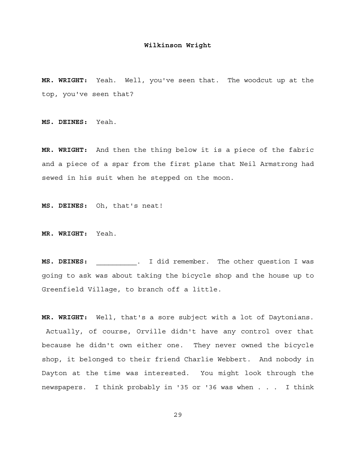**MR. WRIGHT:** Yeah. Well, you've seen that. The woodcut up at the top, you've seen that?

**MS. DEINES:** Yeah.

**MR. WRIGHT:** And then the thing below it is a piece of the fabric and a piece of a spar from the first plane that Neil Armstrong had sewed in his suit when he stepped on the moon.

**MS. DEINES:** Oh, that's neat!

**MR. WRIGHT:** Yeah.

**MS. DEINES:** \_\_\_\_\_\_\_\_\_\_. I did remember. The other question I was going to ask was about taking the bicycle shop and the house up to Greenfield Village, to branch off a little.

**MR. WRIGHT:** Well, that's a sore subject with a lot of Daytonians. Actually, of course, Orville didn't have any control over that because he didn't own either one. They never owned the bicycle shop, it belonged to their friend Charlie Webbert. And nobody in Dayton at the time was interested. You might look through the newspapers. I think probably in '35 or '36 was when . . . I think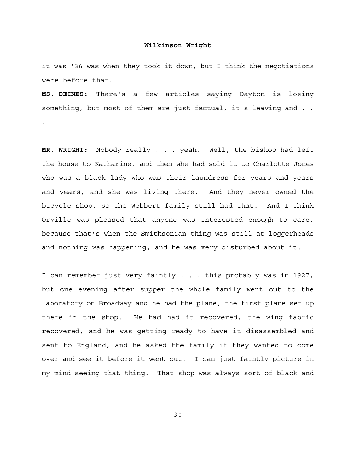it was '36 was when they took it down, but I think the negotiations were before that.

**MS. DEINES:** There's a few articles saying Dayton is losing something, but most of them are just factual, it's leaving and . .

.

**MR. WRIGHT:** Nobody really . . . yeah. Well, the bishop had left the house to Katharine, and then she had sold it to Charlotte Jones who was a black lady who was their laundress for years and years and years, and she was living there. And they never owned the bicycle shop, so the Webbert family still had that. And I think Orville was pleased that anyone was interested enough to care, because that's when the Smithsonian thing was still at loggerheads and nothing was happening, and he was very disturbed about it.

I can remember just very faintly . . . this probably was in 1927, but one evening after supper the whole family went out to the laboratory on Broadway and he had the plane, the first plane set up there in the shop. He had had it recovered, the wing fabric recovered, and he was getting ready to have it disassembled and sent to England, and he asked the family if they wanted to come over and see it before it went out. I can just faintly picture in my mind seeing that thing. That shop was always sort of black and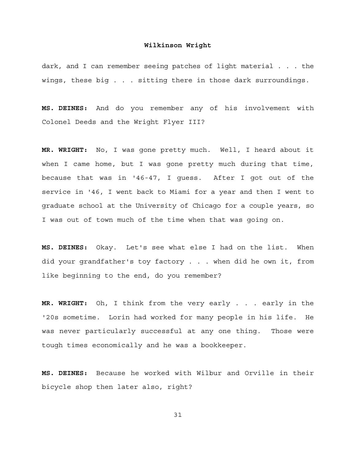dark, and I can remember seeing patches of light material . . . the wings, these big . . . sitting there in those dark surroundings.

**MS. DEINES:** And do you remember any of his involvement with Colonel Deeds and the Wright Flyer III?

**MR. WRIGHT:** No, I was gone pretty much. Well, I heard about it when I came home, but I was gone pretty much during that time, because that was in '46-47, I guess. After I got out of the service in '46, I went back to Miami for a year and then I went to graduate school at the University of Chicago for a couple years, so I was out of town much of the time when that was going on.

**MS. DEINES:** Okay. Let's see what else I had on the list. When did your grandfather's toy factory . . . when did he own it, from like beginning to the end, do you remember?

**MR. WRIGHT:** Oh, I think from the very early . . . early in the '20s sometime. Lorin had worked for many people in his life. He was never particularly successful at any one thing. Those were tough times economically and he was a bookkeeper.

**MS. DEINES:** Because he worked with Wilbur and Orville in their bicycle shop then later also, right?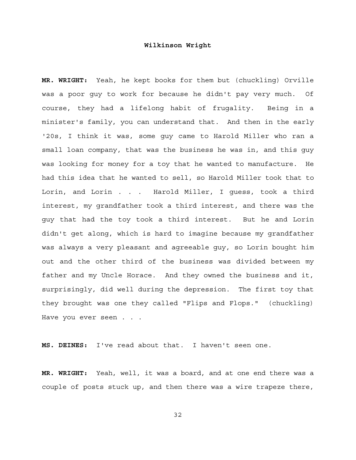**MR. WRIGHT:** Yeah, he kept books for them but (chuckling) Orville was a poor guy to work for because he didn't pay very much. Of course, they had a lifelong habit of frugality. Being in a minister's family, you can understand that. And then in the early '20s, I think it was, some guy came to Harold Miller who ran a small loan company, that was the business he was in, and this guy was looking for money for a toy that he wanted to manufacture. He had this idea that he wanted to sell, so Harold Miller took that to Lorin, and Lorin . . . Harold Miller, I guess, took a third interest, my grandfather took a third interest, and there was the guy that had the toy took a third interest. But he and Lorin didn't get along, which is hard to imagine because my grandfather was always a very pleasant and agreeable guy, so Lorin bought him out and the other third of the business was divided between my father and my Uncle Horace. And they owned the business and it, surprisingly, did well during the depression. The first toy that they brought was one they called "Flips and Flops." (chuckling) Have you ever seen . . .

**MS. DEINES:** I've read about that. I haven't seen one.

**MR. WRIGHT:** Yeah, well, it was a board, and at one end there was a couple of posts stuck up, and then there was a wire trapeze there,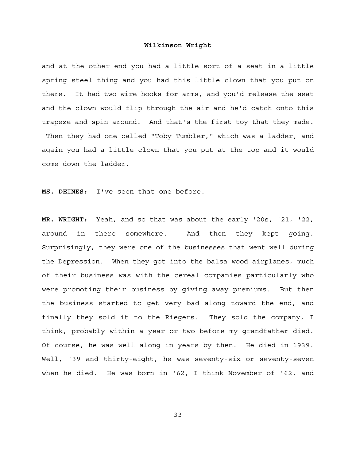and at the other end you had a little sort of a seat in a little spring steel thing and you had this little clown that you put on there. It had two wire hooks for arms, and you'd release the seat and the clown would flip through the air and he'd catch onto this trapeze and spin around. And that's the first toy that they made. Then they had one called "Toby Tumbler," which was a ladder, and again you had a little clown that you put at the top and it would come down the ladder.

**MS. DEINES:** I've seen that one before.

**MR. WRIGHT:** Yeah, and so that was about the early '20s, '21, '22, around in there somewhere. And then they kept going. Surprisingly, they were one of the businesses that went well during the Depression. When they got into the balsa wood airplanes, much of their business was with the cereal companies particularly who were promoting their business by giving away premiums. But then the business started to get very bad along toward the end, and finally they sold it to the Riegers. They sold the company, I think, probably within a year or two before my grandfather died. Of course, he was well along in years by then. He died in 1939. Well, '39 and thirty-eight, he was seventy-six or seventy-seven when he died. He was born in '62, I think November of '62, and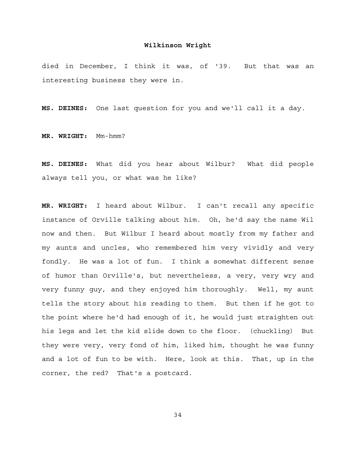died in December, I think it was, of '39. But that was an interesting business they were in.

**MS. DEINES:** One last question for you and we'll call it a day.

**MR. WRIGHT:** Mm-hmm?

**MS. DEINES:** What did you hear about Wilbur? What did people always tell you, or what was he like?

**MR. WRIGHT:** I heard about Wilbur. I can't recall any specific instance of Orville talking about him. Oh, he'd say the name Wil now and then. But Wilbur I heard about mostly from my father and my aunts and uncles, who remembered him very vividly and very fondly. He was a lot of fun. I think a somewhat different sense of humor than Orville's, but nevertheless, a very, very wry and very funny guy, and they enjoyed him thoroughly. Well, my aunt tells the story about his reading to them. But then if he got to the point where he'd had enough of it, he would just straighten out his legs and let the kid slide down to the floor. (chuckling) But they were very, very fond of him, liked him, thought he was funny and a lot of fun to be with. Here, look at this. That, up in the corner, the red? That's a postcard.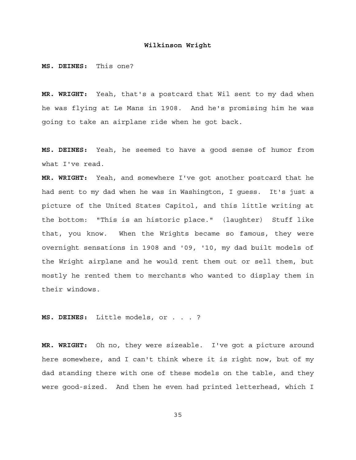**MS. DEINES:** This one?

**MR. WRIGHT:** Yeah, that's a postcard that Wil sent to my dad when he was flying at Le Mans in 1908. And he's promising him he was going to take an airplane ride when he got back.

**MS. DEINES:** Yeah, he seemed to have a good sense of humor from what I've read.

**MR. WRIGHT:** Yeah, and somewhere I've got another postcard that he had sent to my dad when he was in Washington, I guess. It's just a picture of the United States Capitol, and this little writing at the bottom: "This is an historic place." (laughter) Stuff like that, you know. When the Wrights became so famous, they were overnight sensations in 1908 and '09, '10, my dad built models of the Wright airplane and he would rent them out or sell them, but mostly he rented them to merchants who wanted to display them in their windows.

**MS. DEINES:** Little models, or . . . ?

**MR. WRIGHT:** Oh no, they were sizeable. I've got a picture around here somewhere, and I can't think where it is right now, but of my dad standing there with one of these models on the table, and they were good-sized. And then he even had printed letterhead, which I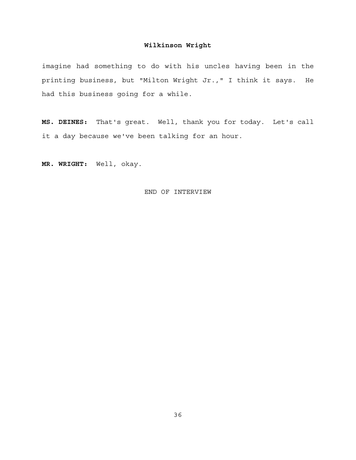imagine had something to do with his uncles having been in the printing business, but "Milton Wright Jr.," I think it says. He had this business going for a while.

**MS. DEINES:** That's great. Well, thank you for today. Let's call it a day because we've been talking for an hour.

**MR. WRIGHT:** Well, okay.

# END OF INTERVIEW